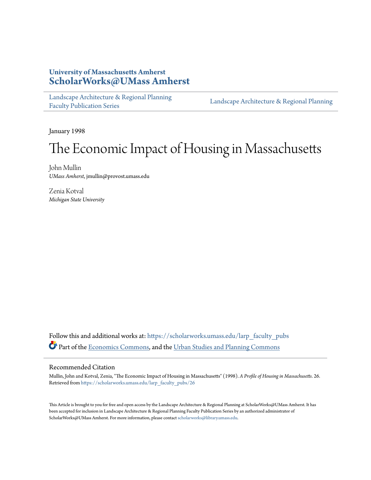## **University of Massachusetts Amherst [ScholarWorks@UMass Amherst](https://scholarworks.umass.edu?utm_source=scholarworks.umass.edu%2Flarp_faculty_pubs%2F26&utm_medium=PDF&utm_campaign=PDFCoverPages)**

[Landscape Architecture & Regional Planning](https://scholarworks.umass.edu/larp_faculty_pubs?utm_source=scholarworks.umass.edu%2Flarp_faculty_pubs%2F26&utm_medium=PDF&utm_campaign=PDFCoverPages) [Faculty Publication Series](https://scholarworks.umass.edu/larp_faculty_pubs?utm_source=scholarworks.umass.edu%2Flarp_faculty_pubs%2F26&utm_medium=PDF&utm_campaign=PDFCoverPages)

[Landscape Architecture & Regional Planning](https://scholarworks.umass.edu/larp?utm_source=scholarworks.umass.edu%2Flarp_faculty_pubs%2F26&utm_medium=PDF&utm_campaign=PDFCoverPages)

January 1998

# The Economic Impact of Housing in Massachusetts

John Mullin *UMass Amherst*, jmullin@provost.umass.edu

Zenia Kotval *Michigan State University*

Follow this and additional works at: [https://scholarworks.umass.edu/larp\\_faculty\\_pubs](https://scholarworks.umass.edu/larp_faculty_pubs?utm_source=scholarworks.umass.edu%2Flarp_faculty_pubs%2F26&utm_medium=PDF&utm_campaign=PDFCoverPages) Part of the [Economics Commons,](http://network.bepress.com/hgg/discipline/340?utm_source=scholarworks.umass.edu%2Flarp_faculty_pubs%2F26&utm_medium=PDF&utm_campaign=PDFCoverPages) and the [Urban Studies and Planning Commons](http://network.bepress.com/hgg/discipline/436?utm_source=scholarworks.umass.edu%2Flarp_faculty_pubs%2F26&utm_medium=PDF&utm_campaign=PDFCoverPages)

#### Recommended Citation

Mullin, John and Kotval, Zenia, "The Economic Impact of Housing in Massachusetts" (1998). *A Profile of Housing in Massachusetts*. 26. Retrieved from [https://scholarworks.umass.edu/larp\\_faculty\\_pubs/26](https://scholarworks.umass.edu/larp_faculty_pubs/26?utm_source=scholarworks.umass.edu%2Flarp_faculty_pubs%2F26&utm_medium=PDF&utm_campaign=PDFCoverPages)

This Article is brought to you for free and open access by the Landscape Architecture & Regional Planning at ScholarWorks@UMass Amherst. It has been accepted for inclusion in Landscape Architecture & Regional Planning Faculty Publication Series by an authorized administrator of ScholarWorks@UMass Amherst. For more information, please contact [scholarworks@library.umass.edu.](mailto:scholarworks@library.umass.edu)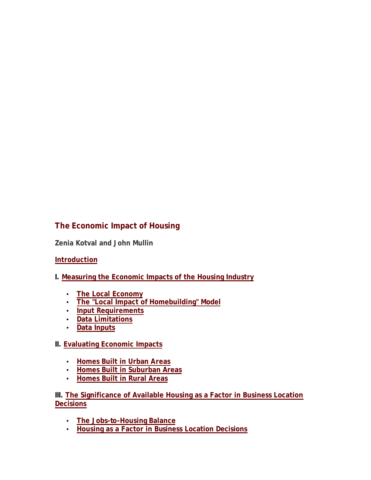# **The Economic Impact of Housing**

**Zenia Kotval and John Mullin**

## **Introduction**

- **I. Measuring the Economic Impacts of the Housing Industry**
	- **The Local Economy**
	- **The "Local Impact of Homebuilding" Model**
	- **Input Requirements**
	- **Data Limitations**
	- **Data Inputs**

#### **II. Evaluating Economic Impacts**

- **Homes Built in Urban Areas**
- **Homes Built in Suburban Areas**
- **Homes Built in Rural Areas**

**III. The Significance of Available Housing as a Factor in Business Location Decisions**

- **The Jobs-to-Housing Balance**
- **Housing as a Factor in Business Location Decisions**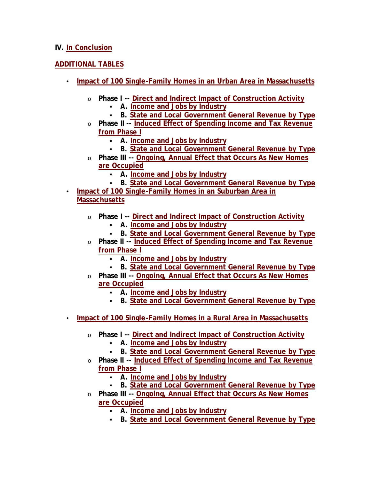#### **IV. In Conclusion**

## **ADDITIONAL TABLES**

- **Impact of 100 Single-Family Homes in an Urban Area in Massachusetts**
	- o **Phase I -- Direct and Indirect Impact of Construction Activity**
		- ß **A. Income and Jobs by Industry**
		- **B. State and Local Government General Revenue by Type**
	- o **Phase II -- Induced Effect of Spending Income and Tax Revenue from Phase I**
		- ß **A. Income and Jobs by Industry**
		- ß **B. State and Local Government General Revenue by Type**
	- o **Phase III -- Ongoing, Annual Effect that Occurs As New Homes are Occupied**
		- ß **A. Income and Jobs by Industry**
		- **B. State and Local Government General Revenue by Type**
- **Impact of 100 Single-Family Homes in an Suburban Area in Massachusetts**
	- o **Phase I -- Direct and Indirect Impact of Construction Activity**
		- ß **A. Income and Jobs by Industry**
		- **B. State and Local Government General Revenue by Type**
	- o **Phase II -- Induced Effect of Spending Income and Tax Revenue from Phase I**
		- ß **A. Income and Jobs by Industry**
		- **B. State and Local Government General Revenue by Type**
	- o **Phase III -- Ongoing, Annual Effect that Occurs As New Homes are Occupied**
		- ß **A. Income and Jobs by Industry**
		- **B. State and Local Government General Revenue by Type**
- **Impact of 100 Single-Family Homes in a Rural Area in Massachusetts**
	- o **Phase I -- Direct and Indirect Impact of Construction Activity**
		- ß **A. Income and Jobs by Industry**
		- **B. State and Local Government General Revenue by Type**
	- o **Phase II -- Induced Effect of Spending Income and Tax Revenue from Phase I**
		- ß **A. Income and Jobs by Industry**
		- **B. State and Local Government General Revenue by Type**
	- o **Phase III -- Ongoing, Annual Effect that Occurs As New Homes are Occupied**
		- ß **A. Income and Jobs by Industry**
		- **B. State and Local Government General Revenue by Type**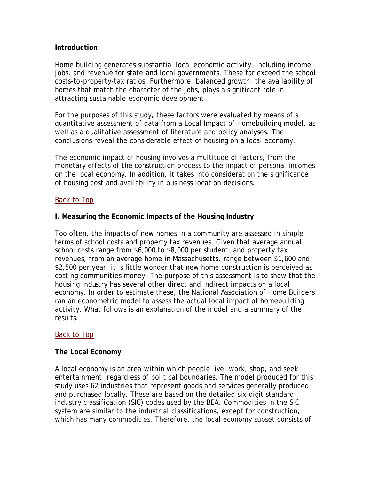#### **Introduction**

Home building generates substantial local economic activity, including income, jobs, and revenue for state and local governments. These far exceed the school costs-to-property-tax ratios. Furthermore, balanced growth, the availability of homes that match the character of the jobs, plays a significant role in attracting sustainable economic development.

For the purposes of this study, these factors were evaluated by means of a quantitative assessment of data from a Local Impact of Homebuilding model, as well as a qualitative assessment of literature and policy analyses. The conclusions reveal the considerable effect of housing on a local economy.

The economic impact of housing involves a multitude of factors, from the monetary effects of the construction process to the impact of personal incomes on the local economy. In addition, it takes into consideration the significance of housing cost and availability in business location decisions.

## Back to Top

## **I. Measuring the Economic Impacts of the Housing Industry**

Too often, the impacts of new homes in a community are assessed in simple terms of school costs and property tax revenues. Given that average annual school costs range from \$6,000 to \$8,000 per student, and property tax revenues, from an average home in Massachusetts, range between \$1,600 and \$2,500 per year, it is little wonder that new home construction is perceived as costing communities money. The purpose of this assessment is to show that the housing industry has several other direct and indirect impacts on a local economy. In order to estimate these, the National Association of Home Builders ran an econometric model to assess the actual local impact of homebuilding activity. What follows is an explanation of the model and a summary of the results.

#### Back to Top

#### **The Local Economy**

A local economy is an area within which people live, work, shop, and seek entertainment, regardless of political boundaries. The model produced for this study uses 62 industries that represent goods and services generally produced and purchased locally. These are based on the detailed six-digit standard industry classification (SIC) codes used by the BEA. Commodities in the SIC system are similar to the industrial classifications, except for construction, which has many commodities. Therefore, the local economy subset consists of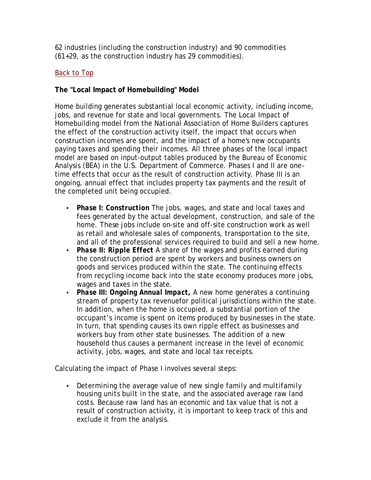62 industries (including the construction industry) and 90 commodities (61+29, as the construction industry has 29 commodities).

## Back to Top

## **The "Local Impact of Homebuilding" Model**

Home building generates substantial local economic activity, including income, jobs, and revenue for state and local governments. The Local Impact of Homebuilding model from the National Association of Home Builders captures the effect of the construction activity itself, the impact that occurs when construction incomes are spent, and the impact of a home's new occupants paying taxes and spending their incomes. All three phases of the local impact model are based on input-output tables produced by the Bureau of Economic Analysis (BEA) in the U.S. Department of Commerce. Phases I and II are onetime effects that occur as the result of construction activity. Phase III is an ongoing, annual effect that includes property tax payments and the result of the completed unit being occupied.

- *Phase I: Construction* The jobs, wages, and state and local taxes and fees generated by the actual development, construction, and sale of the home. These jobs include on-site and off-site construction work as well as retail and wholesale sales of components, transportation to the site, and all of the professional services required to build and sell a new home.
- *Phase II: Ripple Effect* A share of the wages and profits earned during the construction period are spent by workers and business owners on goods and services produced within the state. The continuing effects from recycling income back into the state economy produces more jobs, wages and taxes in the state.
- *Phase III: Ongoing Annual Impact,* A new home generates a continuing stream of property tax revenuefor political jurisdictions within the state. In addition, when the home is occupied, a substantial portion of the occupant's income is spent on items produced by businesses in the state. In turn, that spending causes its own ripple effect as businesses and workers buy from other state businesses. The addition of a new household thus causes a permanent increase in the level of economic activity, jobs, wages, and state and local tax receipts.

Calculating the impact of Phase I involves several steps:

• *Determining the average value of new single family and multifamily housing units built in the state, and the associated average raw land costs*. Because raw land has an economic and tax value that is not a result of construction activity, it is important to keep track of this and exclude it from the analysis.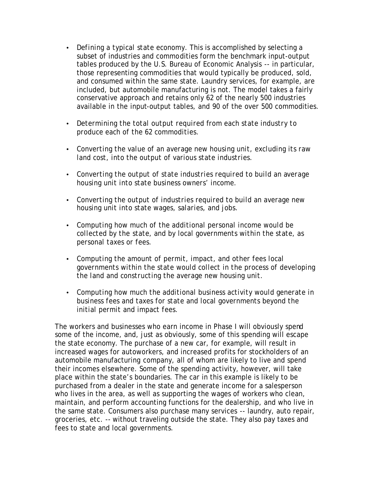- *Defining a typical state economy.* This is accomplished by selecting a subset of industries and commodities form the benchmark input-output tables produced by the U.S. Bureau of Economic Analysis -- in particular, those representing commodities that would typically be produced, sold, and consumed within the same state. Laundry services, for example, are included, but automobile manufacturing is not. The model takes a fairly conservative approach and retains only 62 of the nearly 500 industries available in the input-output tables, and 90 of the over 500 commodities.
- *Determining the total output required from each state industry to produce each of the 62 commodities.*
- *Converting the value of an average new housing unit, excluding its raw land cost, into the output of various state industries.*
- *Converting the output of state industries required to build an average housing unit into state business owners' income.*
- *Converting the output of industries required to build an average new housing unit into state wages, salaries, and jobs.*
- *Computing how much of the additional personal income would be collected by the state, and by local governments within the state, as personal taxes or fees.*
- *Computing the amount of permit, impact, and other fees local governments within the state would collect in the process of developing the land and constructing the average new housing unit.*
- *Computing how much the additional business activity would generate in business fees and taxes for state and local governments beyond the initial permit and impact fees.*

The workers and businesses who earn income in Phase I will obviously spend some of the income, and, just as obviously, some of this spending will escape the state economy. The purchase of a new car, for example, will result in increased wages for autoworkers, and increased profits for stockholders of an automobile manufacturing company, all of whom are likely to live and spend their incomes elsewhere. Some of the spending activity, however, will take place within the state's boundaries. The car in this example is likely to be purchased from a dealer in the state and generate income for a salesperson who lives in the area, as well as supporting the wages of workers who clean, maintain, and perform accounting functions for the dealership, and who live in the same state. Consumers also purchase many services -- laundry, auto repair, groceries, etc. -- without traveling outside the state. They also pay taxes and fees to state and local governments.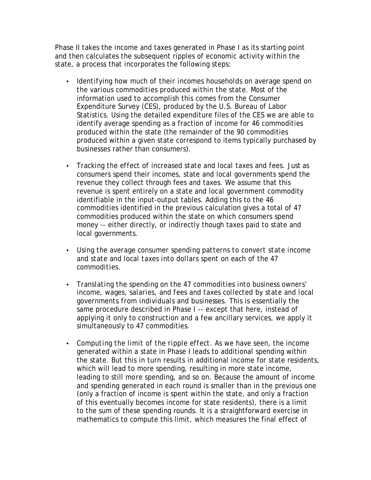Phase II takes the income and taxes generated in Phase I as its starting point and then calculates the subsequent ripples of economic activity within the state, a process that incorporates the following steps:

- *Identifying how much of their incomes households on average spend on the various commodities produced within the state.* Most of the information used to accomplish this comes from the Consumer Expenditure Survey (CES), produced by the U.S. Bureau of Labor Statistics. Using the detailed expenditure files of the CES we are able to identify average spending as a fraction of income for 46 commodities produced within the state (the remainder of the 90 commodities produced within a given state correspond to items typically purchased by businesses rather than consumers).
- *Tracking the effect of increased state and local taxes and fees.* Just as consumers spend their incomes, state and local governments spend the revenue they collect through fees and taxes. We assume that this revenue is spent entirely on a state and local government commodity identifiable in the input-output tables. Adding this to the 46 commodities identified in the previous calculation gives a total of 47 commodities produced within the state on which consumers spend money -- either directly, or indirectly though taxes paid to state and local governments.
- *Using the average consumer spending patterns to convert state income and state and local taxes into dollars spent on each of the 47 commodities.*
- *Translating the spending on the 47 commodities into business owners' income, wages, salaries, and fees and taxes collected by state and local governments from individuals and businesses.* This is essentially the same procedure described in Phase I -- except that here, instead of applying it only to construction and a few ancillary services, we apply it simultaneously to 47 commodities.
- *Computing the limit of the ripple effect.* As we have seen, the income generated within a state in Phase I leads to additional spending within the state. But this in turn results in additional income for state residents, which will lead to more spending, resulting in more state income, leading to still more spending, and so on. Because the amount of income and spending generated in each round is smaller than in the previous one (only a fraction of income is spent within the state, and only a fraction of this eventually becomes income for state residents), there is a limit to the sum of these spending rounds. It is a straightforward exercise in mathematics to compute this limit, which measures the final effect of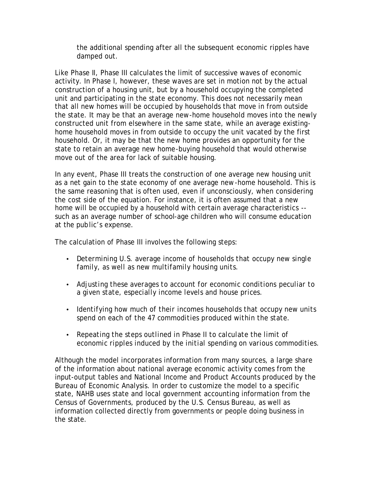the additional spending after all the subsequent economic ripples have damped out.

Like Phase II, Phase III calculates the limit of successive waves of economic activity. In Phase I, however, these waves are set in motion not by the actual construction of a housing unit, but by a household occupying the completed unit and participating in the state economy. This does not necessarily mean that all new homes will be occupied by households that move in from outside the state. It may be that an average new-home household moves into the newly constructed unit from elsewhere in the same state, while an average existinghome household moves in from outside to occupy the unit vacated by the first household. Or, it may be that the new home provides an opportunity for the state to retain an average new home-buying household that would otherwise move out of the area for lack of suitable housing.

In any event, Phase III treats the construction of one average new housing unit as a net gain to the state economy of one average new-home household. This is the same reasoning that is often used, even if unconsciously, when considering the cost side of the equation. For instance, it is often assumed that a new home will be occupied by a household with certain average characteristics - such as an average number of school-age children who will consume education at the public's expense.

The calculation of Phase III involves the following steps:

- *Determining U.S. average income of households that occupy new single family, as well as new multifamily housing units.*
- *Adjusting these averages to account for economic conditions peculiar to a given state, especially income levels and house prices.*
- *Identifying how much of their incomes households that occupy new units spend on each of the 47 commodities produced within the state.*
- *Repeating the steps outlined in Phase II to calculate the limit of economic ripples induced by the initial spending on various commodities.*

Although the model incorporates information from many sources, a large share of the information about national average economic activity comes from the input-output tables and National Income and Product Accounts produced by the Bureau of Economic Analysis. In order to customize the model to a specific state, NAHB uses state and local government accounting information from the Census of Governments, produced by the U.S. Census Bureau, as well as information collected directly from governments or people doing business in the state.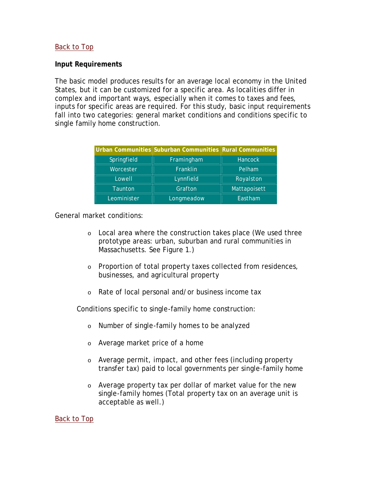## Back to Top

#### **Input Requirements**

The basic model produces results for an average local economy in the United States, but it can be customized for a specific area. As localities differ in complex and important ways, especially when it comes to taxes and fees, inputs for specific areas are required. For this study, basic input requirements fall into two categories: general market conditions and conditions specific to single family home construction.

|             | Urban Communities Suburban Communities Rural Communities |                |
|-------------|----------------------------------------------------------|----------------|
| Springfield | Framingham                                               | <b>Hancock</b> |
| Worcester   | Franklin                                                 | Pelham         |
| Lowell      | Lynnfield                                                | Royalston      |
| Taunton     | Grafton                                                  | Mattapoisett   |
| Leominister | Longmeadow                                               | Eastham        |

General market conditions:

- o Local area where the construction takes place (We used three prototype areas: urban, suburban and rural communities in Massachusetts. See Figure 1.)
- o Proportion of total property taxes collected from residences, businesses, and agricultural property
- o Rate of local personal and/or business income tax

Conditions specific to single-family home construction:

- o Number of single-family homes to be analyzed
- o Average market price of a home
- o Average permit, impact, and other fees (including property transfer tax) paid to local governments per single-family home
- o Average property tax per dollar of market value for the new single-family homes (Total property tax on an average unit is acceptable as well.)

Back to Top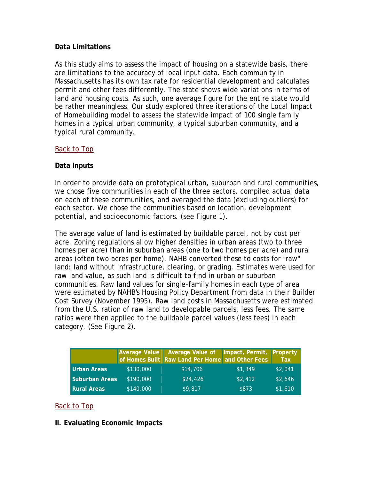## **Data Limitations**

As this study aims to assess the impact of housing on a statewide basis, there are limitations to the accuracy of local input data. Each community in Massachusetts has its own tax rate for residential development and calculates permit and other fees differently. The state shows wide variations in terms of land and housing costs. As such, one average figure for the entire state would be rather meaningless. Our study explored three iterations of the Local Impact of Homebuilding model to assess the statewide impact of 100 single family homes in a typical urban community, a typical suburban community, and a typical rural community.

## Back to Top

## **Data Inputs**

In order to provide data on prototypical urban, suburban and rural communities, we chose five communities in each of the three sectors, compiled actual data on each of these communities, and averaged the data (excluding outliers) for each sector. We chose the communities based on location, development potential, and socioeconomic factors. (see Figure 1).

The average value of land is estimated by buildable parcel, not by cost per acre. Zoning regulations allow higher densities in urban areas (two to three homes per acre) than in suburban areas (one to two homes per acre) and rural areas (often two acres per home). NAHB converted these to costs for "raw" land: land without infrastructure, clearing, or grading. Estimates were used for raw land value, as such land is difficult to find in urban or suburban communities. Raw land values for single-family homes in each type of area were estimated by NAHB's Housing Policy Department from data in their Builder Cost Survey (November 1995). Raw land costs in Massachusetts were estimated from the U.S. ration of raw land to developable parcels, less fees. The same ratios were then applied to the buildable parcel values (less fees) in each category. (See Figure 2).

|                       |           | Average Value Average Value of Impact, Permit, Property<br>of Homes Built Raw Land Per Home and Other Fees Tax |         |         |
|-----------------------|-----------|----------------------------------------------------------------------------------------------------------------|---------|---------|
| <b>Urban Areas</b>    | \$130,000 | \$14,706                                                                                                       | \$1,349 | \$2,041 |
| <b>Suburban Areas</b> | \$190,000 | \$24,426                                                                                                       | \$2,412 | \$2,646 |
| <b>Rural Areas</b>    | \$140,000 | \$9,817                                                                                                        | \$873   | \$1,610 |

## Back to Top

#### **II. Evaluating Economic Impacts**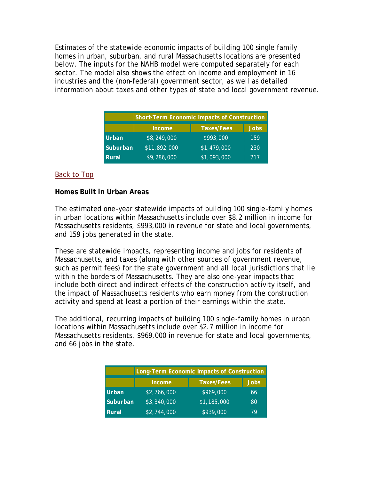Estimates of the statewide economic impacts of building 100 single family homes in urban, suburban, and rural Massachusetts locations are presented below. The inputs for the NAHB model were computed separately for each sector. The model also shows the effect on income and employment in 16 industries and the (non-federal) government sector, as well as detailed information about taxes and other types of state and local government revenue.

| <b>Short-Term Economic Impacts of Construction</b> |                                            |             |     |  |  |  |  |
|----------------------------------------------------|--------------------------------------------|-------------|-----|--|--|--|--|
|                                                    | <b>Jobs</b><br><b>Taxes/Fees</b><br>Income |             |     |  |  |  |  |
| <b>Urban</b>                                       | \$8,249,000                                | \$993,000   | 159 |  |  |  |  |
| Suburban                                           | \$11,892,000                               | \$1,479,000 | 230 |  |  |  |  |
| Rural                                              | \$9,286,000                                | \$1,093,000 | 217 |  |  |  |  |

## Back to Top

## **Homes Built in Urban Areas**

The estimated one-year statewide impacts of building 100 single-family homes in urban locations within Massachusetts include over \$8.2 million in income for Massachusetts residents, \$993,000 in revenue for state and local governments, and 159 jobs generated in the state.

These are statewide impacts, representing income and jobs for residents of Massachusetts, and taxes (along with other sources of government revenue, such as permit fees) for the state government and all local jurisdictions that lie within the borders of Massachusetts. They are also one-year impacts that include both direct and indirect effects of the construction activity itself, and the impact of Massachusetts residents who earn money from the construction activity and spend at least a portion of their earnings within the state.

The additional, recurring impacts of building 100 single-family homes in urban locations within Massachusetts include over \$2.7 million in income for Massachusetts residents, \$969,000 in revenue for state and local governments, and 66 jobs in the state.

| Long-Term Economic Impacts of Construction |                                            |             |    |  |  |  |  |
|--------------------------------------------|--------------------------------------------|-------------|----|--|--|--|--|
|                                            | Taxes/Fees<br><b>Jobs</b><br><b>Income</b> |             |    |  |  |  |  |
| <b>Urban</b>                               | \$2,766,000                                | \$969,000   | 66 |  |  |  |  |
| Suburban                                   | \$3,340,000                                | \$1,185,000 | 80 |  |  |  |  |
| <b>Rural</b>                               | \$2,744,000                                | \$939,000   | 70 |  |  |  |  |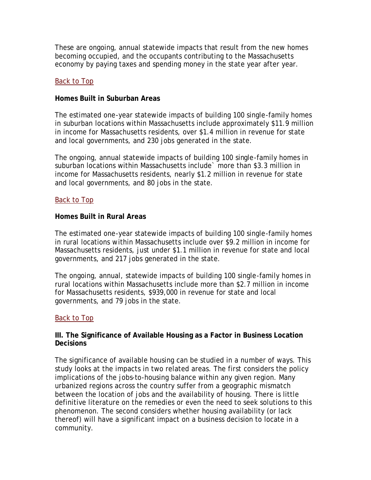These are ongoing, annual statewide impacts that result from the new homes becoming occupied, and the occupants contributing to the Massachusetts economy by paying taxes and spending money in the state year after year.

#### Back to Top

## **Homes Built in Suburban Areas**

The estimated one-year statewide impacts of building 100 single-family homes in suburban locations within Massachusetts include approximately \$11.9 million in income for Massachusetts residents, over \$1.4 million in revenue for state and local governments, and 230 jobs generated in the state.

The ongoing, annual statewide impacts of building 100 single-family homes in suburban locations within Massachusetts include` more than \$3.3 million in income for Massachusetts residents, nearly \$1.2 million in revenue for state and local governments, and 80 jobs in the state.

## Back to Top

## **Homes Built in Rural Areas**

The estimated one-year statewide impacts of building 100 single-family homes in rural locations within Massachusetts include over \$9.2 million in income for Massachusetts residents, just under \$1.1 million in revenue for state and local governments, and 217 jobs generated in the state.

The ongoing, annual, statewide impacts of building 100 single-family homes in rural locations within Massachusetts include more than \$2.7 million in income for Massachusetts residents, \$939,000 in revenue for state and local governments, and 79 jobs in the state.

## Back to Top

#### **III. The Significance of Available Housing as a Factor in Business Location Decisions**

The significance of available housing can be studied in a number of ways. This study looks at the impacts in two related areas. The first considers the policy implications of the jobs-to-housing balance within any given region. Many urbanized regions across the country suffer from a geographic mismatch between the location of jobs and the availability of housing. There is little definitive literature on the remedies or even the need to seek solutions to this phenomenon. The second considers whether housing availability (or lack thereof) will have a significant impact on a business decision to locate in a community.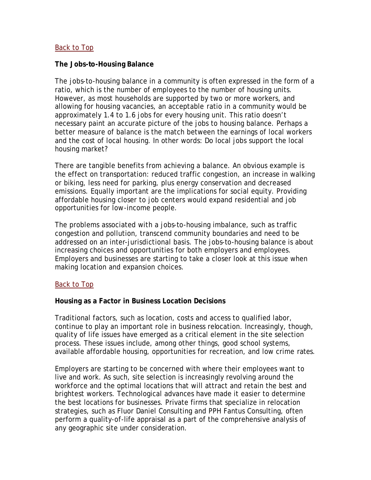#### Back to Top

#### **The Jobs-to-Housing Balance**

The jobs-to-housing balance in a community is often expressed in the form of a ratio, which is the number of employees to the number of housing units. However, as most households are supported by two or more workers, and allowing for housing vacancies, an acceptable ratio in a community would be approximately 1.4 to 1.6 jobs for every housing unit. This ratio doesn't necessary paint an accurate picture of the jobs to housing balance. Perhaps a better measure of balance is the match between the earnings of local workers and the cost of local housing. In other words: Do local jobs support the local housing market?

There are tangible benefits from achieving a balance. An obvious example is the effect on transportation: reduced traffic congestion, an increase in walking or biking, less need for parking, plus energy conservation and decreased emissions. Equally important are the implications for social equity. Providing affordable housing closer to job centers would expand residential and job opportunities for low-income people.

The problems associated with a jobs-to-housing imbalance, such as traffic congestion and pollution, transcend community boundaries and need to be addressed on an inter-jurisdictional basis. The jobs-to-housing balance is about increasing choices and opportunities for both employers and employees. Employers and businesses are starting to take a closer look at this issue when making location and expansion choices.

#### Back to Top

#### **Housing as a Factor in Business Location Decisions**

Traditional factors, such as location, costs and access to qualified labor, continue to play an important role in business relocation. Increasingly, though, quality of life issues have emerged as a critical element in the site selection process. These issues include, among other things, good school systems, available affordable housing, opportunities for recreation, and low crime rates.

Employers are starting to be concerned with where their employees want to live and work. As such, site selection is increasingly revolving around the workforce and the optimal locations that will attract and retain the best and brightest workers. Technological advances have made it easier to determine the best locations for businesses. Private firms that specialize in relocation strategies, such as Fluor Daniel Consulting and PPH Fantus Consulting, often perform a quality-of-life appraisal as a part of the comprehensive analysis of any geographic site under consideration.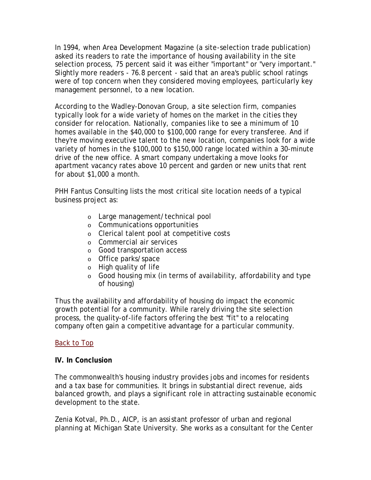In 1994, when Area Development Magazine (a site-selection trade publication) asked its readers to rate the importance of housing availability in the site selection process, 75 percent said it was either "important" or "very important." Slightly more readers - 76.8 percent - said that an area's public school ratings were of top concern when they considered moving employees, particularly key management personnel, to a new location.

According to the Wadley-Donovan Group, a site selection firm, companies typically look for a wide variety of homes on the market in the cities they consider for relocation. Nationally, companies like to see a minimum of 10 homes available in the \$40,000 to \$100,000 range for every transferee. And if they're moving executive talent to the new location, companies look for a wide variety of homes in the \$100,000 to \$150,000 range located within a 30-minute drive of the new office. A smart company undertaking a move looks for apartment vacancy rates above 10 percent and garden or new units that rent for about \$1,000 a month.

PHH Fantus Consulting lists the most critical site location needs of a typical business project as:

- o Large management/technical pool
- o Communications opportunities
- o Clerical talent pool at competitive costs
- o Commercial air services
- o Good transportation access
- o Office parks/space
- o High quality of life
- o Good housing mix (in terms of availability, affordability and type of housing)

Thus the availability and affordability of housing do impact the economic growth potential for a community. While rarely driving the site selection process, the quality-of-life factors offering the best "fit" to a relocating company often gain a competitive advantage for a particular community.

#### Back to Top

#### **IV. In Conclusion**

The commonwealth's housing industry provides jobs and incomes for residents and a tax base for communities. It brings in substantial direct revenue, aids balanced growth, and plays a significant role in attracting sustainable economic development to the state.

Zenia Kotval, Ph.D., AICP, is an assistant professor of urban and regional planning at Michigan State University. She works as a consultant for the Center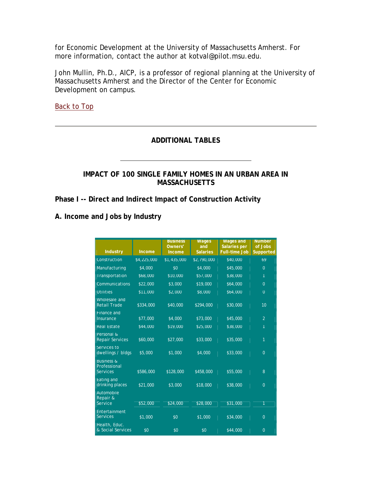for Economic Development at the University of Massachusetts Amherst. For more information, contact the author at kotval@pilot.msu.edu.

John Mullin, Ph.D., AICP, is a professor of regional planning at the University of Massachusetts Amherst and the Director of the Center for Economic Development on campus.

Back to Top

#### **ADDITIONAL TABLES**

#### **IMPACT OF 100 SINGLE FAMILY HOMES IN AN URBAN AREA IN MASSACHUSETTS**

**Phase I -- Direct and Indirect Impact of Construction Activity**

| <b>Industry</b>                                          | <b>Income</b> | <b>Business</b><br>Owners'<br><b>Income</b> | <b>Wages</b><br>and<br><b>Salaries</b> | <b>Wages and</b><br>Salaries per<br><b>Full-time Job</b> | <b>Number</b><br>of Jobs<br>Supported |
|----------------------------------------------------------|---------------|---------------------------------------------|----------------------------------------|----------------------------------------------------------|---------------------------------------|
| Construction                                             | \$4,225,000   | \$1,435,000                                 | \$2,790,000                            | \$40,000                                                 | 69                                    |
| Manufacturing                                            | \$4,000       | \$0                                         | \$4,000                                | \$45,000                                                 | $\Omega$                              |
| Transportation                                           | \$68,000      | \$10,000                                    | \$57,000                               | \$38,000                                                 | 1                                     |
| Communications                                           | \$22,000      | \$3,000                                     | \$19,000                               | \$64,000                                                 | $\overline{0}$                        |
| <b>Utilities</b>                                         | \$11,000      | \$2,000                                     | \$8,000                                | \$64,000                                                 | $\Omega$                              |
| Wholesale and<br><b>Retail Trade</b>                     | \$334,000     | \$40,000                                    | \$294,000                              | \$30,000                                                 | 10                                    |
| Finance and<br>Insurance                                 | \$77,000      | \$4,000                                     | \$73,000                               | \$45,000                                                 | $\overline{2}$                        |
| <b>Real Estate</b>                                       | \$44,000      | \$19,000                                    | \$25,000                               | \$38,000                                                 | 1                                     |
| Personal &<br><b>Repair Services</b>                     | \$60,000      | \$27,000                                    | \$33,000                               | \$35,000                                                 | 1                                     |
| Services to<br>dwellings / bldgs                         | \$5,000       | \$1,000                                     | \$4,000                                | \$33,000                                                 | $\overline{0}$                        |
| <b>Business &amp;</b><br>Professional<br><b>Services</b> | \$586,000     | \$128,000                                   | \$458,000                              | \$55,000                                                 | 8                                     |
| Eating and<br>drinking places                            | \$21,000      | \$3,000                                     | \$18,000                               | \$38,000                                                 | $\overline{0}$                        |
| Automobile<br>Repair &<br>Service                        | \$52,000      | \$24,000                                    | \$28,000                               | \$31,000                                                 | 1                                     |
| Entertainment<br><b>Services</b>                         | \$1,000       | \$0                                         | \$1,000                                | \$34,000                                                 | $\Omega$                              |
| Health, Educ.<br>& Social Services                       | \$0           | \$0                                         | \$0                                    | \$44,000                                                 | $\overline{0}$                        |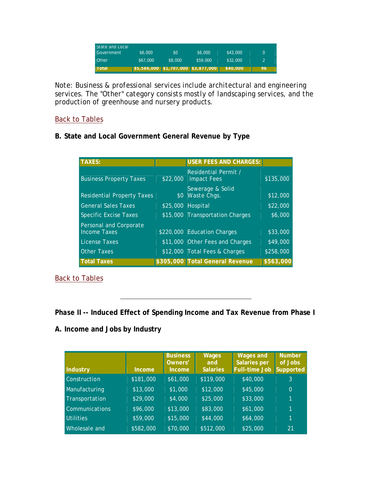| State and Local.<br>Government | \$6,000  | \$0     | \$6,000                                 | \$43,000 |    |
|--------------------------------|----------|---------|-----------------------------------------|----------|----|
| Other                          | \$67,000 | \$8,000 | \$59,000                                | \$32,000 |    |
| <b>Total</b>                   |          |         | \$5,584,000   \$1,707,000   \$3,877,000 | \$40,000 | 96 |

*Note: Business & professional services include architectural and engineering services. The "Other" category consists mostly of landscaping services, and the production of greenhouse and nursery products.*

## Back to Tables

## **B. State and Local Government General Revenue by Type**

| <b>TAXES:</b>                                 |          | USER FEES AND CHARGES:                     |           |
|-----------------------------------------------|----------|--------------------------------------------|-----------|
| <b>Business Property Taxes</b>                | \$22,000 | Residential Permit /<br><b>Impact Fees</b> | \$135,000 |
| <b>Residential Property Taxes</b>             |          | Sewerage & Solid<br>\$0 Waste Chgs.        | \$12,000  |
| <b>General Sales Taxes</b>                    |          | \$25,000 Hospital                          | \$22,000  |
| <b>Specific Excise Taxes</b>                  |          | \$15,000 Transportation Charges            | \$6,000   |
| Personal and Corporate<br><b>Income Taxes</b> |          | \$220,000 Education Charges                | \$33,000  |
| License Taxes                                 |          | \$11,000 Other Fees and Charges            | \$49,000  |
| <b>Other Taxes</b>                            |          | \$12,000 Total Fees & Charges              | \$258,000 |
| <b>Total Taxes</b>                            |          | \$305,000 Total General Revenue            | \$563,000 |

Back to Tables

## *Phase II* **-- Induced Effect of Spending Income and Tax Revenue from Phase I**

| Industry         | Income    | <b>Business</b><br>Owners'<br><b>Income</b> | <b>Wages</b><br>and<br><b>Salaries</b> | <b>Wages and</b><br><b>Salaries per</b><br><b>Full-time Job</b> | <b>Number</b><br>of Jobs<br>Supported |
|------------------|-----------|---------------------------------------------|----------------------------------------|-----------------------------------------------------------------|---------------------------------------|
| Construction     | \$181,000 | \$61,000                                    | \$119,000                              | \$40,000                                                        | 3                                     |
| Manufacturing    | \$13,000  | \$1,000                                     | \$12,000                               | \$45,000                                                        | $\Omega$                              |
| Transportation   | \$29,000  | \$4,000                                     | \$25,000                               | \$33,000                                                        | 4                                     |
| Communications   | \$96,000  | \$13,000                                    | \$83,000                               | \$61,000                                                        | 1                                     |
| <b>Utilities</b> | \$59,000  | \$15,000                                    | $\sqrt{44,000}$                        | \$64,000                                                        | 11                                    |
| Wholesale and    | \$582,000 | \$70,000                                    | \$512,000                              | \$25,000                                                        | 21                                    |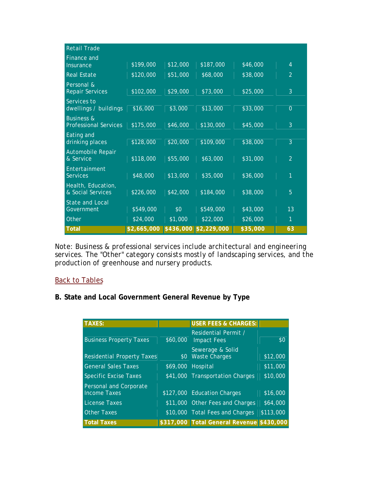| <b>Retail Trade</b>                     |             |           |             |          |                |
|-----------------------------------------|-------------|-----------|-------------|----------|----------------|
| Finance and<br><b>Insurance</b>         | \$199,000   | \$12,000  | \$187,000   | \$46,000 | $\overline{4}$ |
|                                         |             |           |             |          |                |
| <b>Real Estate</b>                      | \$120,000   | \$51,000  | \$68,000    | \$38,000 | $\overline{2}$ |
| Personal &<br><b>Repair Services</b>    | \$102,000   | \$29,000  | \$73,000    | \$25,000 | 3              |
| Services to<br>dwellings / buildings    | \$16,000    | \$3,000   | \$13,000    | \$33,000 | $\overline{0}$ |
| <b>Business &amp;</b>                   |             |           |             |          |                |
| <b>Professional Services</b>            | \$175,000   | \$46,000  | \$130,000   | \$45,000 | 3              |
| Eating and<br>drinking places           | \$128,000   | \$20,000  | \$109,000   | \$38,000 | 3              |
|                                         |             |           |             |          |                |
| Automobile Repair<br>& Service          | \$118,000   | \$55,000  | \$63,000    | \$31,000 | $\overline{2}$ |
| Entertainment                           |             |           |             |          |                |
| <b>Services</b>                         | \$48,000    | \$13,000  | \$35,000    | \$36,000 | 1              |
| Health, Education,<br>& Social Services | \$226,000   | \$42,000  | \$184,000   | \$38,000 | 5              |
| <b>State and Local</b>                  |             |           |             |          |                |
| Government                              | \$549,000   | \$0       | \$549,000   | \$43,000 | 13             |
| Other                                   | \$24,000    | \$1,000   | \$22,000    | \$26,000 | 1              |
| <b>Total</b>                            | \$2,665,000 | \$436,000 | \$2,229,000 | \$35,000 | 63             |

*Note: Business & professional services include architectural and engineering services. The "Other" category consists mostly of landscaping services, and the production of greenhouse and nursery products.*

#### **Back to Tables**

### **B. State and Local Government General Revenue by Type**

| <b>TAXES:</b>                                 |                  | <b>USER FEES &amp; CHARGES:</b>            |           |
|-----------------------------------------------|------------------|--------------------------------------------|-----------|
| <b>Business Property Taxes</b>                | \$60,000         | Residential Permit /<br><b>Impact Fees</b> | \$0       |
| <b>Residential Property Taxes</b>             | \$0 <sub>2</sub> | Sewerage & Solid<br><b>Waste Charges</b>   | \$12,000  |
| <b>General Sales Taxes</b>                    |                  | \$69,000 Hospital                          | \$11,000  |
| <b>Specific Excise Taxes</b>                  |                  | \$41,000 Transportation Charges            | \$10,000  |
| Personal and Corporate<br><b>Income Taxes</b> |                  | \$127,000 Education Charges                | \$16,000  |
| License Taxes                                 |                  | \$11,000 Other Fees and Charges            | \$64,000  |
| <b>Other Taxes</b>                            |                  | \$10,000 Total Fees and Charges            | \$113,000 |
| <b>Total Taxes</b>                            |                  | \$317,000 Total General Revenue \$430,000  |           |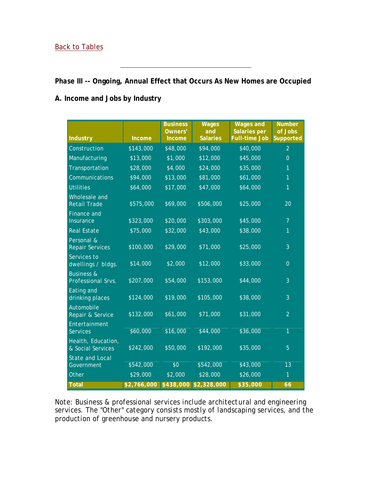#### Back to Tables

## *Phase III* **-- Ongoing, Annual Effect that Occurs As New Homes are Occupied**

## **A. Income and Jobs by Industry**

| <b>Industry</b>                             | <b>Income</b> | <b>Business</b><br>Owners'<br>Income | <b>Wages</b><br>and<br><b>Salaries</b> | <b>Wages and</b><br><b>Salaries per</b><br><b>Full-time Job</b> | <b>Number</b><br>of Jobs<br><b>Supported</b> |
|---------------------------------------------|---------------|--------------------------------------|----------------------------------------|-----------------------------------------------------------------|----------------------------------------------|
| Construction                                | \$143,000     | \$48,000                             | \$94,000                               | \$40,000                                                        | $\overline{2}$                               |
| Manufacturing                               | \$13,000      | \$1,000                              | \$12,000                               | \$45,000                                                        | $\overline{0}$                               |
| Transportation                              | \$28,000      | \$4,000                              | \$24,000                               | \$35,000                                                        | 1                                            |
| Communications                              | \$94,000      | \$13,000                             | \$81,000                               | \$61,000                                                        | 1                                            |
| <b>Utilities</b>                            | \$64,000      | \$17,000                             | \$47,000                               | \$64,000                                                        | 1                                            |
| Wholesale and<br>Retail Trade               | \$575,000     | \$69,000                             | \$506,000                              | \$25,000                                                        | 20                                           |
| <b>Finance and</b><br>Insurance             | \$323,000     | \$20,000                             | \$303,000                              | \$45,000                                                        | $\overline{7}$                               |
| <b>Real Estate</b>                          | \$75,000      | \$32,000                             | \$43,000                               | \$38,000                                                        | 1                                            |
| Personal &<br><b>Repair Services</b>        | \$100,000     | \$29,000                             | \$71,000                               | \$25,000                                                        | 3                                            |
| Services to<br>dwellings / bldgs.           | \$14,000      | \$2,000                              | \$12,000                               | \$33,000                                                        | $\overline{0}$                               |
| <b>Business &amp;</b><br>Professional Srvs. | \$207,000     | \$54,000                             | \$153,000                              | \$44,000                                                        | 3                                            |
| Eating and<br>drinking places               | \$124,000     | \$19,000                             | \$105,000                              | \$38,000                                                        | 3                                            |
| Automobile<br>Repair & Service              | \$132,000     | \$61,000                             | \$71,000                               | \$31,000                                                        | $\overline{2}$                               |
| Entertainment<br>Services                   | \$60,000      | \$16,000                             | \$44,000                               | \$36,000                                                        | 1                                            |
| Health, Education,<br>& Social Services     | \$242,000     | \$50,000                             | \$192,000                              | \$35,000                                                        | 5                                            |
| <b>State and Local</b><br>Government        | \$542,000     | \$0                                  | \$542,000                              | \$43,000                                                        | 13                                           |
| Other                                       | \$29,000      | \$2,000                              | \$28,000                               | \$26,000                                                        | 1                                            |
| <b>Total</b>                                | \$2,766,000   | \$438,000                            | \$2,328,000                            | \$35,000                                                        | 66                                           |

*Note: Business & professional services include architectural and engineering services. The "Other" category consists mostly of landscaping services, and the production of greenhouse and nursery products.*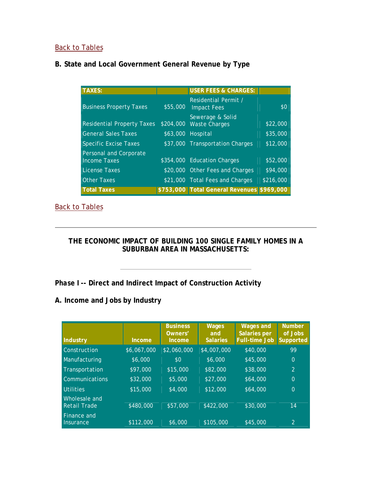## Back to Tables

## **B. State and Local Government General Revenue by Type**

| <b>TAXES:</b>                                 |           | <b>USER FEES &amp; CHARGES:</b>            |           |
|-----------------------------------------------|-----------|--------------------------------------------|-----------|
| <b>Business Property Taxes</b>                | \$55,000  | Residential Permit /<br><b>Impact Fees</b> | \$0       |
| <b>Residential Property Taxes</b>             | \$204,000 | Sewerage & Solid<br><b>Waste Charges</b>   | \$22,000  |
| <b>General Sales Taxes</b>                    | \$63,000  | Hospital                                   | \$35,000  |
| <b>Specific Excise Taxes</b>                  |           | \$37,000 Transportation Charges            | \$12,000  |
| Personal and Corporate<br><b>Income Taxes</b> |           | \$354,000 Education Charges                | \$52,000  |
| <b>License Taxes</b>                          |           | \$20,000 Other Fees and Charges            | \$94,000  |
| <b>Other Taxes</b>                            |           | \$21,000 Total Fees and Charges            | \$216,000 |
| <b>Total Taxes</b>                            |           | \$753,000 Total General Revenues \$969,000 |           |

## Back to Tables

**THE ECONOMIC IMPACT OF BUILDING 100 SINGLE FAMILY HOMES IN A SUBURBAN AREA IN MASSACHUSETTS:**

## *Phase I* **-- Direct and Indirect Impact of Construction Activity**

| Industry                             | <b>Income</b> | <b>Business</b><br>Owners'<br><b>Income</b> | <b>Wages</b><br>and<br><b>Salaries</b> | <b>Wages and</b><br><b>Salaries per</b><br><b>Full-time Job</b> | <b>Number</b><br>of Jobs<br><b>Supported</b> |
|--------------------------------------|---------------|---------------------------------------------|----------------------------------------|-----------------------------------------------------------------|----------------------------------------------|
| Construction                         | \$6,067,000   | \$2,060,000                                 | \$4,007,000                            | \$40,000                                                        | 99                                           |
| Manufacturing                        | \$6,000       | \$0                                         | \$6,000                                | \$45,000                                                        | $\overline{0}$                               |
| Transportation                       | \$97,000      | \$15,000                                    | \$82,000                               | \$38,000                                                        | 2                                            |
| <b>Communications</b>                | \$32,000      | \$5,000                                     | \$27,000                               | \$64,000                                                        | $\overline{0}$                               |
| <b>Utilities</b>                     | \$15,000      | \$4,000                                     | \$12,000                               | \$64,000                                                        | $\Omega$                                     |
| Wholesale and<br><b>Retail Trade</b> | \$480,000     | \$57,000                                    | \$422,000                              | \$30,000                                                        | 14                                           |
| <b>Finance and</b><br>Insurance      | \$112,000     | \$6,000                                     | \$105,000                              | \$45,000                                                        | 2                                            |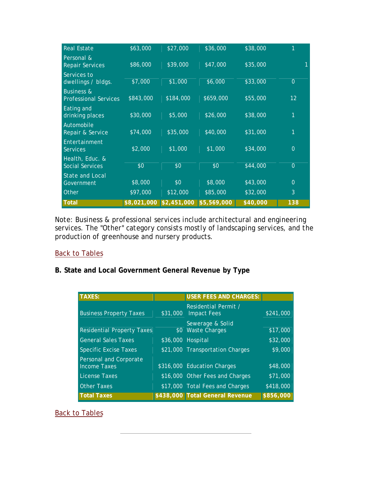| <b>Real Estate</b>                                    | \$63,000    | \$27,000    | \$36,000    | \$38,000 | 1              |
|-------------------------------------------------------|-------------|-------------|-------------|----------|----------------|
| Personal &<br><b>Repair Services</b>                  | \$86,000    | \$39,000    | \$47,000    | \$35,000 |                |
| Services to<br>dwellings / bldgs.                     | \$7,000     | \$1,000     | \$6,000     | \$33,000 | $\overline{0}$ |
| <b>Business &amp;</b><br><b>Professional Services</b> | \$843,000   | \$184,000   | \$659,000   | \$55,000 | 12             |
| Eating and<br>drinking places                         | \$30,000    | \$5,000     | \$26,000    | \$38,000 | 1              |
| Automobile<br>Repair & Service                        | \$74,000    | \$35,000    | \$40,000    | \$31,000 | 1              |
| Entertainment<br><b>Services</b>                      | \$2,000     | \$1,000     | \$1,000     | \$34,000 | $\overline{0}$ |
| Health, Educ. &<br><b>Social Services</b>             | \$0         | \$0         | \$0         | \$44,000 | $\overline{0}$ |
| <b>State and Local</b><br>Government                  | \$8,000     | \$0         | \$8,000     | \$43,000 | $\overline{0}$ |
| Other                                                 | \$97,000    | \$12,000    | \$85,000    | \$32,000 | 3              |
| <b>Total</b>                                          | \$8,021,000 | \$2,451,000 | \$5,569,000 | \$40,000 | 138            |

*Note: Business & professional services include architectural and engineering services. The "Other" category consists mostly of landscaping services, and the production of greenhouse and nursery products.*

#### Back to Tables

## **B. State and Local Government General Revenue by Type**

| <b>TAXES:</b>                                 |          | USER FEES AND CHARGES:                     |           |
|-----------------------------------------------|----------|--------------------------------------------|-----------|
| <b>Business Property Taxes</b>                | \$31,000 | Residential Permit /<br><b>Impact Fees</b> | \$241,000 |
| <b>Residential Property Taxes</b>             |          | Sewerage & Solid<br>\$0 Waste Charges      | \$17,000  |
| <b>General Sales Taxes</b>                    |          | \$36,000 Hospital                          | \$32,000  |
| <b>Specific Excise Taxes</b>                  |          | \$21,000 Transportation Charges            | \$9,000   |
| Personal and Corporate<br><b>Income Taxes</b> |          | \$316,000 Education Charges                | \$48,000  |
| License Taxes                                 |          | \$16,000 Other Fees and Charges            | \$71,000  |
| <b>Other Taxes</b>                            |          | \$17,000 Total Fees and Charges            | \$418,000 |
| <b>Total Taxes</b>                            |          | \$438,000 Total General Revenue            | \$856,000 |

## Back to Tables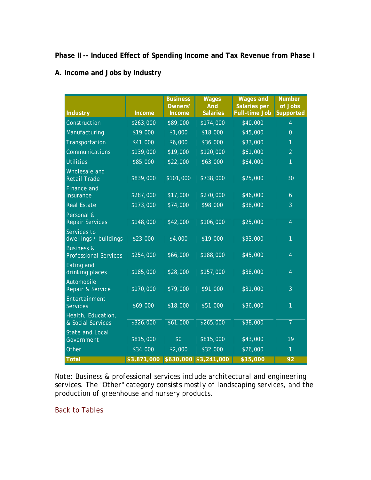## *Phase II* **-- Induced Effect of Spending Income and Tax Revenue from Phase I**

#### **A. Income and Jobs by Industry**

| <b>Industry</b>                                       | Income      | <b>Business</b><br>Owners'<br>Income | <b>Wages</b><br><b>And</b><br><b>Salaries</b> | <b>Wages and</b><br><b>Salaries per</b><br><b>Full-time Job</b> | <b>Number</b><br>of Jobs<br><b>Supported</b> |
|-------------------------------------------------------|-------------|--------------------------------------|-----------------------------------------------|-----------------------------------------------------------------|----------------------------------------------|
| Construction                                          | \$263,000   | \$89,000                             | \$174,000                                     | \$40,000                                                        | $\overline{4}$                               |
| Manufacturing                                         | \$19,000    | \$1,000                              | \$18,000                                      | \$45,000                                                        | $\Omega$                                     |
| Transportation                                        | \$41,000    | \$6,000                              | \$36,000                                      | \$33,000                                                        | 1                                            |
| Communications                                        | \$139,000   | \$19,000                             | \$120,000                                     | \$61,000                                                        | $\overline{2}$                               |
| <b>Utilities</b>                                      | \$85,000    | \$22,000                             | \$63,000                                      | \$64,000                                                        | 1                                            |
| Wholesale and<br><b>Retail Trade</b>                  | \$839,000   | \$101,000                            | \$738,000                                     | \$25,000                                                        | 30                                           |
| Finance and<br>Insurance                              | \$287,000   | \$17,000                             | \$270,000                                     | \$46,000                                                        | $\overline{6}$                               |
| <b>Real Estate</b>                                    | \$173,000   | \$74,000                             | \$98,000                                      | \$38,000                                                        | 3                                            |
| Personal &<br><b>Repair Services</b>                  | \$148,000   | \$42,000                             | \$106,000                                     | \$25,000                                                        | $\overline{4}$                               |
| Services to<br>dwellings / buildings                  | \$23,000    | \$4,000                              | \$19,000                                      | \$33,000                                                        | 1                                            |
| <b>Business &amp;</b><br><b>Professional Services</b> | \$254,000   | \$66,000                             | \$188,000                                     | \$45,000                                                        | $\overline{4}$                               |
| Eating and<br>drinking places                         | \$185,000   | \$28,000                             | \$157,000                                     | \$38,000                                                        | $\overline{4}$                               |
| Automobile<br>Repair & Service                        | \$170,000   | \$79,000                             | \$91,000                                      | $\sqrt{$31,000}$                                                | 3                                            |
| Entertainment<br><b>Services</b>                      | \$69,000    | \$18,000                             | \$51,000                                      | \$36,000                                                        | 1                                            |
| Health, Education,<br>& Social Services               | \$326,000   | \$61,000                             | \$265,000                                     | \$38,000                                                        | $\overline{7}$                               |
| <b>State and Local</b><br>Government                  | \$815,000   | \$0                                  | \$815,000                                     | \$43,000                                                        | 19                                           |
| Other                                                 | \$34,000    | \$2,000                              | \$32,000                                      | \$26,000                                                        | 1                                            |
| <b>Total</b>                                          | \$3,871,000 |                                      | \$630,000 \$3,241,000                         | \$35,000                                                        | 92                                           |

*Note: Business & professional services include architectural and engineering services. The "Other" category consists mostly of landscaping services, and the production of greenhouse and nursery products.*

Back to Tables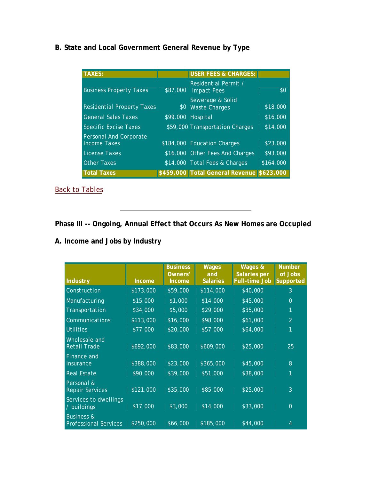## **B. State and Local Government General Revenue by Type**

| <b>TAXES:</b>                                 |                   | <b>USER FEES &amp; CHARGES:</b>            |           |
|-----------------------------------------------|-------------------|--------------------------------------------|-----------|
| <b>Business Property Taxes</b>                | \$87,000          | Residential Permit /<br><b>Impact Fees</b> | \$0       |
| <b>Residential Property Taxes</b>             | \$0               | Sewerage & Solid<br><b>Waste Charges</b>   | \$18,000  |
| <b>General Sales Taxes</b>                    | \$99,000 Hospital |                                            | \$16,000  |
| <b>Specific Excise Taxes</b>                  |                   | \$59,000 Transportation Charges            | \$14,000  |
| Personal And Corporate<br><b>Income Taxes</b> |                   | \$184,000 Education Charges                | \$23,000  |
| <b>License Taxes</b>                          |                   | \$16,000 Other Fees And Charges            | \$93,000  |
| <b>Other Taxes</b>                            |                   | \$14,000 Total Fees & Charges              | \$164,000 |
| <b>Total Taxes</b>                            |                   | \$459,000 Total General Revenue \$623,000  |           |

Back to Tables

# **Phase III -- Ongoing, Annual Effect that Occurs As New Homes are Occupied**

| <b>Industry</b>                                       | Income    | <b>Business</b><br>Owners'<br><b>Income</b> | <b>Wages</b><br>and<br><b>Salaries</b> | Wages &<br><b>Salaries per</b><br><b>Full-time Job</b> | <b>Number</b><br>of Jobs<br><b>Supported</b> |
|-------------------------------------------------------|-----------|---------------------------------------------|----------------------------------------|--------------------------------------------------------|----------------------------------------------|
| Construction                                          | \$173,000 | \$59,000                                    | \$114,000                              | \$40,000                                               | 3                                            |
| Manufacturing                                         | \$15,000  | \$1,000                                     | \$14,000                               | \$45,000                                               | $\overline{0}$                               |
| Transportation                                        | \$34,000  | \$5,000                                     | \$29,000                               | \$35,000                                               | 1                                            |
| Communications                                        | \$113,000 | \$16,000                                    | \$98,000                               | \$61,000                                               | $\overline{2}$                               |
| <b>Utilities</b>                                      | \$77,000  | \$20,000                                    | \$57,000                               | \$64,000                                               | 1                                            |
| Wholesale and<br><b>Retail Trade</b>                  | \$692,000 | \$83,000                                    | \$609,000                              | \$25,000                                               | 25                                           |
| Finance and<br>Insurance                              | \$388,000 | \$23,000                                    | \$365,000                              | \$45,000                                               | 8                                            |
| <b>Real Estate</b>                                    | \$90,000  | \$39,000                                    | \$51,000                               | \$38,000                                               | 1                                            |
| Personal &<br><b>Repair Services</b>                  | \$121,000 | \$35,000                                    | \$85,000                               | \$25,000                                               | 3                                            |
| Services to dwellings<br>/ buildings                  | \$17,000  | \$3,000                                     | \$14,000                               | \$33,000                                               | $\theta$                                     |
| <b>Business &amp;</b><br><b>Professional Services</b> | \$250,000 | \$66,000                                    | \$185,000                              | \$44,000                                               | 4                                            |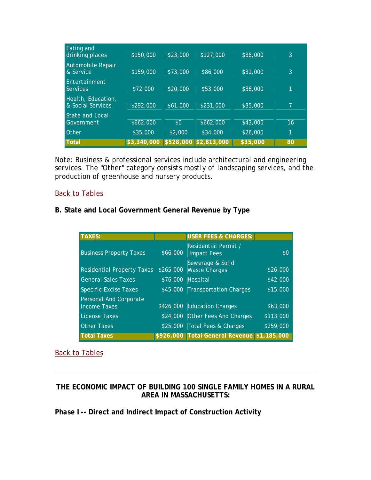| Eating and<br>drinking places           | \$150,000   | \$23,000 | \$127,000             | \$38,000 | 3              |
|-----------------------------------------|-------------|----------|-----------------------|----------|----------------|
| Automobile Repair<br>& Service          | \$159,000   | \$73,000 | \$86,000              | \$31,000 | 3              |
| Entertainment<br><b>Services</b>        | \$72,000    | \$20,000 | \$53,000              | \$36,000 | 1              |
| Health, Education,<br>& Social Services | \$292,000   | \$61,000 | \$231,000             | \$35,000 | $\overline{7}$ |
| State and Local<br>Government           | \$662,000   | \$0      | \$662,000             | \$43,000 | 16             |
| Other                                   | \$35,000    | \$2,000  | \$34,000              | \$26,000 | 1              |
| <b>Total</b>                            | \$3,340,000 |          | \$528,000 \$2,813,000 | \$35,000 | 80             |

*Note: Business & professional services include architectural and engineering services. The "Other" category consists mostly of landscaping services, and the production of greenhouse and nursery products.*

#### Back to Tables

#### **B. State and Local Government General Revenue by Type**

| <b>TAXES:</b>                                 |           | USER FEES & CHARGES:                        |           |
|-----------------------------------------------|-----------|---------------------------------------------|-----------|
| <b>Business Property Taxes</b>                | \$66,000  | Residential Permit /<br><b>Impact Fees</b>  | \$0       |
| <b>Residential Property Taxes</b>             | \$265,000 | Sewerage & Solid<br><b>Waste Charges</b>    | \$26,000  |
| <b>General Sales Taxes</b>                    | \$76,000  | Hospital                                    | \$42,000  |
| <b>Specific Excise Taxes</b>                  |           | \$45,000 Transportation Charges             | \$15,000  |
| Personal And Corporate<br><b>Income Taxes</b> |           | \$426,000 Education Charges                 | \$63,000  |
| License Taxes                                 |           | \$24,000 Other Fees And Charges             | \$113,000 |
| <b>Other Taxes</b>                            |           | \$25,000 Total Fees & Charges               | \$259,000 |
| <b>Total Taxes</b>                            |           | \$926,000 Total General Revenue \$1,185,000 |           |

Back to Tables

## **THE ECONOMIC IMPACT OF BUILDING 100 SINGLE FAMILY HOMES IN A RURAL AREA IN MASSACHUSETTS:**

#### *Phase I* **-- Direct and Indirect Impact of Construction Activity**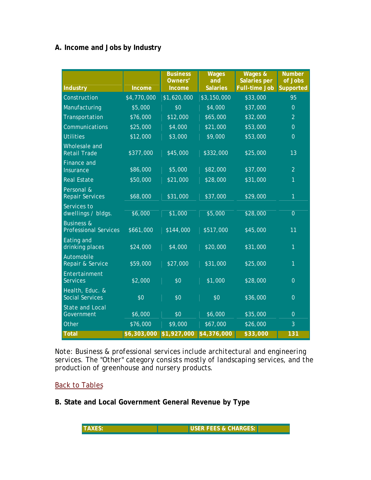## **A. Income and Jobs by Industry**

| <b>Industry</b>                                       | <b>Income</b> | <b>Business</b><br>Owners'<br><b>Income</b> | <b>Wages</b><br>and<br><b>Salaries</b> | <b>Wages &amp;</b><br><b>Salaries per</b><br><b>Full-time Job</b> | <b>Number</b><br>of Jobs<br>Supported |
|-------------------------------------------------------|---------------|---------------------------------------------|----------------------------------------|-------------------------------------------------------------------|---------------------------------------|
| Construction                                          | \$4,770,000   | \$1,620,000                                 | \$3,150,000                            | \$33,000                                                          | 95                                    |
| Manufacturing                                         | \$5,000       | \$0                                         | \$4,000                                | \$37,000                                                          | $\overline{0}$                        |
| Transportation                                        | \$76,000      | \$12,000                                    | \$65,000                               | \$32,000                                                          | $\overline{2}$                        |
| Communications                                        | \$25,000      | \$4,000                                     | \$21,000                               | \$53,000                                                          | $\overline{0}$                        |
| <b>Utilities</b>                                      | \$12,000      | \$3,000                                     | \$9,000                                | \$53,000                                                          | $\Omega$                              |
| Wholesale and<br><b>Retail Trade</b>                  | \$377,000     | \$45,000                                    | \$332,000                              | \$25,000                                                          | 13                                    |
| Finance and<br>Insurance                              | \$86,000      | \$5,000                                     | \$82,000                               | \$37,000                                                          | $\overline{2}$                        |
| <b>Real Estate</b>                                    | \$50,000      | \$21,000                                    | \$28,000                               | \$31,000                                                          | $\mathbf{1}$                          |
| Personal &<br><b>Repair Services</b>                  | \$68,000      | \$31,000                                    | \$37,000                               | \$29,000                                                          | $\overline{1}$                        |
| Services to<br>dwellings / bldgs.                     | \$6,000       | \$1,000                                     | \$5,000                                | \$28,000                                                          | $\overline{0}$                        |
| <b>Business &amp;</b><br><b>Professional Services</b> | \$661,000     | \$144,000                                   | \$517,000                              | \$45,000                                                          | 11                                    |
| Eating and<br>drinking places                         | \$24,000      | \$4,000                                     | \$20,000                               | \$31,000                                                          | $\overline{1}$                        |
| Automobile<br>Repair & Service                        | \$59,000      | \$27,000                                    | \$31,000                               | \$25,000                                                          | $\mathbf{1}$                          |
| Entertainment<br><b>Services</b>                      | \$2,000       | \$0                                         | \$1,000                                | \$28,000                                                          | $\overline{0}$                        |
| Health, Educ. &<br><b>Social Services</b>             | \$0           | \$0                                         | \$0                                    | \$36,000                                                          | $\overline{0}$                        |
| <b>State and Local</b><br>Government                  | \$6,000       | \$0                                         | \$6,000                                | \$35,000                                                          | $\overline{0}$                        |
| Other                                                 | \$76,000      | \$9,000                                     | \$67,000                               | \$26,000                                                          | 3                                     |
| <b>Total</b>                                          | \$6,303,000   | \$1,927,000                                 | \$4,376,000                            | \$33,000                                                          | 131                                   |

*Note: Business & professional services include architectural and engineering services. The "Other" category consists mostly of landscaping services, and the production of greenhouse and nursery products.*

## Back to Tables

**B. State and Local Government General Revenue by Type**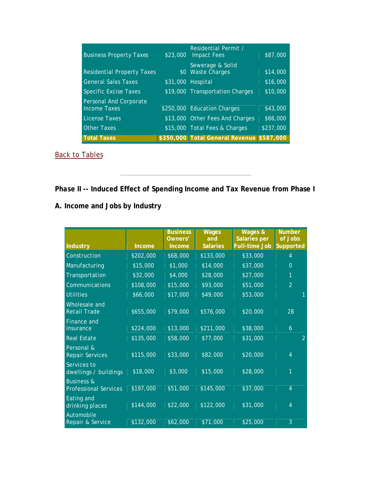| <b>Business Property Taxes</b>                | \$23,000 | Residential Permit /<br><b>Impact Fees</b> | \$87,000  |
|-----------------------------------------------|----------|--------------------------------------------|-----------|
| <b>Residential Property Taxes</b>             |          | Sewerage & Solid<br>\$0 Waste Charges      | \$14,000  |
| <b>General Sales Taxes</b>                    |          | \$31,000 Hospital                          | \$16,000  |
| <b>Specific Excise Taxes</b>                  |          | \$19,000 Transportation Charges            | \$10,000  |
| Personal And Corporate<br><b>Income Taxes</b> |          | \$250,000 Education Charges                | \$43,000  |
| <b>License Taxes</b>                          |          | \$13,000 Other Fees And Charges            | \$66,000  |
| <b>Other Taxes</b>                            |          | \$15,000 Total Fees & Charges              | \$237,000 |
| <b>Total Taxes</b>                            |          | \$350,000 Total General Revenue \$587,000  |           |

Back to Tables

# *Phase II* **-- Induced Effect of Spending Income and Tax Revenue from Phase I**

|                                                       |               | <b>Business</b><br>Owners' | <b>Wages</b><br>and | Wages &<br><b>Salaries per</b> | <b>Number</b><br>of Jobs |
|-------------------------------------------------------|---------------|----------------------------|---------------------|--------------------------------|--------------------------|
| <b>Industry</b>                                       | <b>Income</b> | <b>Income</b>              | <b>Salaries</b>     | <b>Full-time Job Supported</b> |                          |
| Construction                                          | \$202,000     | \$68,000                   | \$133,000           | \$33,000                       | $\overline{4}$           |
| Manufacturing                                         | \$15,000      | \$1,000                    | \$14,000            | \$37,000                       | $\overline{0}$           |
| Transportation                                        | \$32,000      | \$4,000                    | \$28,000            | \$27,000                       | 1                        |
| Communications                                        | \$108,000     | \$15,000                   | \$93,000            | \$51,000                       | $\overline{2}$           |
| <b>Utilities</b>                                      | \$66,000      | \$17,000                   | \$49,000            | \$53,000                       |                          |
| Wholesale and<br><b>Retail Trade</b>                  | \$655,000     | \$79,000                   | \$576,000           | \$20,000                       | 28                       |
| Finance and<br><b>Insurance</b>                       | \$224,000     | \$13,000                   | \$211,000           | \$38,000                       | $\ddot{\mathbf{6}}$      |
| <b>Real Estate</b>                                    | \$135,000     | \$58,000                   | \$77,000            | \$31,000                       | $\overline{2}$           |
| Personal &<br><b>Repair Services</b>                  | \$115,000     | \$33,000                   | \$82,000            | \$20,000                       | $\overline{4}$           |
| Services to<br>dwellings / buildings                  | \$18,000      | \$3,000                    | \$15,000            | \$28,000                       | 1                        |
| <b>Business &amp;</b><br><b>Professional Services</b> | \$197,000     | \$51,000                   | \$145,000           | \$37,000                       | $\overline{4}$           |
| Eating and<br>drinking places                         | \$144,000     | \$22,000                   | \$122,000           | \$31,000                       | $\overline{4}$           |
| Automobile<br>Repair & Service                        | \$132,000     | \$62,000                   | \$71,000            | \$25,000                       | 3                        |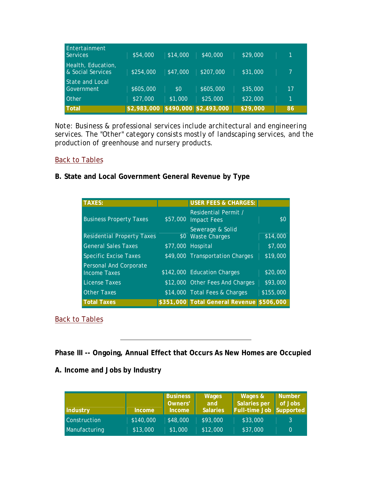| Entertainment<br>Services               | \$54,000                          | \$14,000 | \$40,000  | \$29,000 |    |
|-----------------------------------------|-----------------------------------|----------|-----------|----------|----|
| Health, Education,<br>& Social Services | \$254,000                         | \$47,000 | \$207,000 | \$31,000 |    |
| State and Local<br>Government           | \$605,000                         | \$0      | \$605,000 | \$35,000 | 17 |
| <b>Other</b>                            | \$27,000                          | \$1,000  | \$25,000  | \$22,000 | 1  |
| Total                                   | \$2,983,000 \$490,000 \$2,493,000 |          |           | \$29,000 | 86 |

*Note: Business & professional services include architectural and engineering services. The "Other" category consists mostly of landscaping services, and the production of greenhouse and nursery products.*

## Back to Tables

## **B. State and Local Government General Revenue by Type**

| <b>TAXES:</b>                                 | <b>USER FEES &amp; CHARGES:</b>              |           |
|-----------------------------------------------|----------------------------------------------|-----------|
| <b>Business Property Taxes</b>                | Residential Permit /<br>\$57,000 Impact Fees | \$0       |
| <b>Residential Property Taxes</b>             | Sewerage & Solid<br>\$0 Waste Charges        | \$14,000  |
| <b>General Sales Taxes</b>                    | \$77,000 Hospital                            | \$7,000   |
| <b>Specific Excise Taxes</b>                  | \$49,000 Transportation Charges              | \$19,000  |
| Personal And Corporate<br><b>Income Taxes</b> | \$142,000 Education Charges                  | \$20,000  |
| <b>License Taxes</b>                          | \$12,000 Other Fees And Charges              | \$93,000  |
| <b>Other Taxes</b>                            | \$14,000 Total Fees & Charges                | \$155,000 |
| <b>Total Taxes</b>                            | \$351,000 Total General Revenue \$506,000    |           |

## Back to Tables

*Phase III* **-- Ongoing, Annual Effect that Occurs As New Homes are Occupied**

| Industry      | <b>Income</b> | <b>Business</b><br>Owners'<br><b>Income</b> | <b>Wages</b><br>and<br><b>Salaries</b> | Wages &<br><b>Salaries per</b><br>Full-time Job Supported | <b>Number</b><br>of Jobs |
|---------------|---------------|---------------------------------------------|----------------------------------------|-----------------------------------------------------------|--------------------------|
| Construction  | \$140,000     | \$48,000                                    | \$93,000                               | \$33,000                                                  | 3                        |
| Manufacturing | \$13,000      | \$1,000                                     | \$12,000                               | \$37,000                                                  | $\Omega$                 |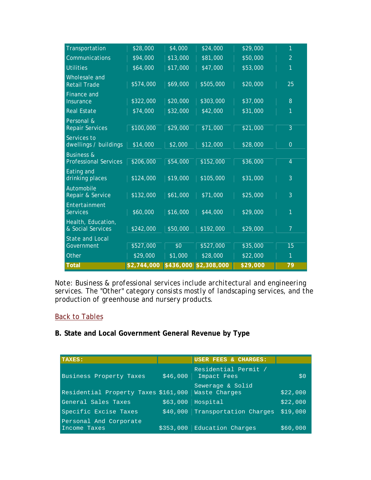| <b>Total</b>                                          | \$2,744,000 | \$436,000 | \$2,308,000 | \$29,000 | 79             |
|-------------------------------------------------------|-------------|-----------|-------------|----------|----------------|
| Other                                                 | \$29,000    | \$1,000   | \$28,000    | \$22,000 | 1              |
| <b>State and Local</b><br>Government                  | \$527,000   | \$0       | \$527,000   | \$35,000 | 15             |
| Health, Education,<br>& Social Services               | \$242,000   | \$50,000  | \$192,000   | \$29,000 | $\overline{7}$ |
| Entertainment<br><b>Services</b>                      | \$60,000    | \$16,000  | \$44,000    | \$29,000 | 1              |
| Automobile<br>Repair & Service                        | \$132,000   | \$61,000  | \$71,000    | \$25,000 | $\overline{3}$ |
| Eating and<br>drinking places                         | \$124,000   | \$19,000  | \$105,000   | \$31,000 | 3              |
| <b>Business &amp;</b><br><b>Professional Services</b> | \$206,000   | \$54,000  | \$152,000   | \$36,000 | $\overline{4}$ |
| Services to<br>dwellings / buildings                  | \$14,000    | \$2,000   | \$12,000    | \$28,000 | $\overline{0}$ |
| Personal &<br><b>Repair Services</b>                  | \$100,000   | \$29,000  | \$71,000    | \$21,000 | $\overline{3}$ |
| <b>Real Estate</b>                                    | \$74,000    | \$32,000  | \$42,000    | \$31,000 | 1              |
| <b>Finance and</b><br>Insurance                       | \$322,000   | \$20,000  | \$303,000   | \$37,000 | 8              |
| Wholesale and<br><b>Retail Trade</b>                  | \$574,000   | \$69,000  | \$505,000   | \$20,000 | 25             |
| <b>Utilities</b>                                      | \$64,000    | \$17,000  | \$47,000    | \$53,000 | 1              |
| Communications                                        | \$94,000    | \$13,000  | \$81,000    | \$50,000 | $\overline{2}$ |
| Transportation                                        | \$28,000    | \$4,000   | \$24,000    | \$29,000 | 1              |

*Note: Business & professional services include architectural and engineering services. The "Other" category consists mostly of landscaping services, and the production of greenhouse and nursery products.*

#### Back to Tables

## **B. State and Local Government General Revenue by Type**

| TAXES:                                 |           | USER FEES & CHARGES:                |          |
|----------------------------------------|-----------|-------------------------------------|----------|
| Business Property Taxes                | \$46,000  | Residential Permit /<br>Impact Fees | \$0      |
| Residential Property Taxes \$161,000   |           | Sewerage & Solid<br>Waste Charges   | \$22,000 |
| General Sales Taxes                    | \$63,000  | Hospital                            | \$22,000 |
| Specific Excise Taxes                  | \$40,000  | Transportation Charges              | \$19.000 |
| Personal And Corporate<br>Income Taxes | \$353.000 | Education Charges                   | \$60,000 |